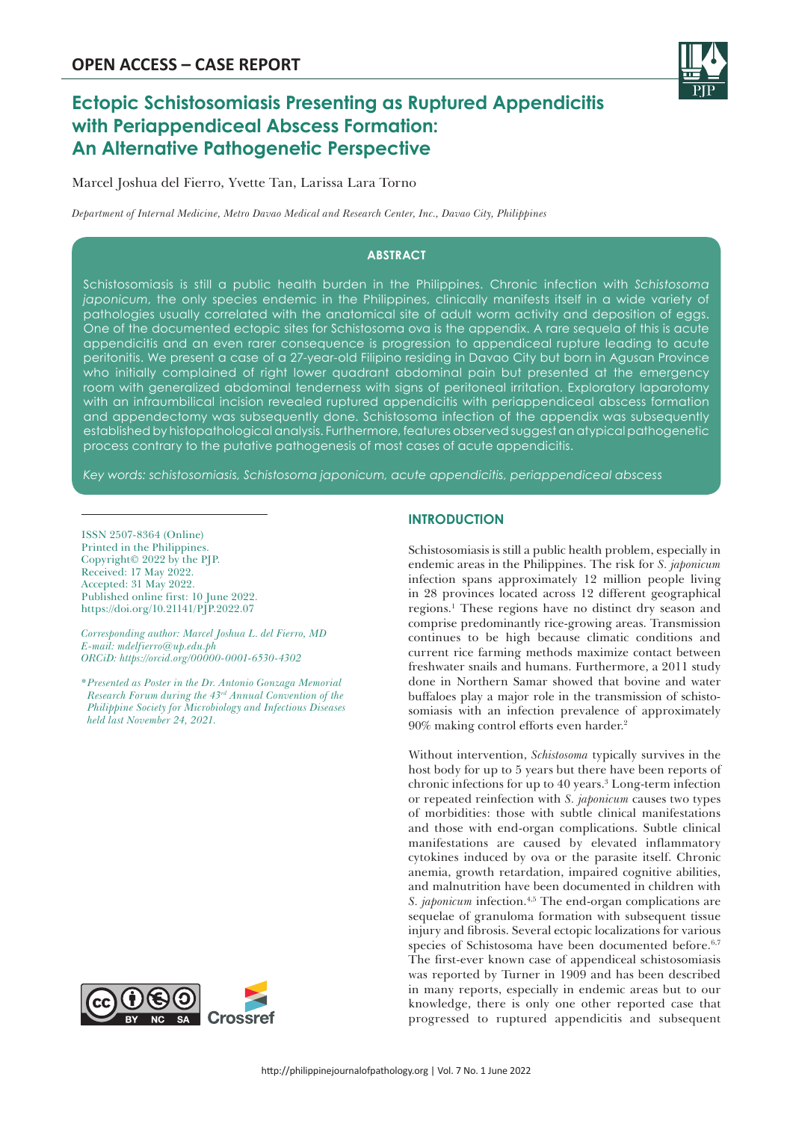

# **Ectopic Schistosomiasis Presenting as Ruptured Appendicitis with Periappendiceal Abscess Formation: An Alternative Pathogenetic Perspective**

Marcel Joshua del Fierro, Yvette Tan, Larissa Lara Torno

*Department of Internal Medicine, Metro Davao Medical and Research Center, Inc., Davao City, Philippines*

## **ABSTRACT**

Schistosomiasis is still a public health burden in the Philippines. Chronic infection with *Schistosoma japonicum*, the only species endemic in the Philippines, clinically manifests itself in a wide variety of pathologies usually correlated with the anatomical site of adult worm activity and deposition of eggs. One of the documented ectopic sites for Schistosoma ova is the appendix. A rare sequela of this is acute appendicitis and an even rarer consequence is progression to appendiceal rupture leading to acute peritonitis. We present a case of a 27-year-old Filipino residing in Davao City but born in Agusan Province who initially complained of right lower quadrant abdominal pain but presented at the emergency room with generalized abdominal tenderness with signs of peritoneal irritation. Exploratory laparotomy with an infraumbilical incision revealed ruptured appendicitis with periappendiceal abscess formation and appendectomy was subsequently done. Schistosoma infection of the appendix was subsequently established by histopathological analysis. Furthermore, features observed suggest an atypical pathogenetic process contrary to the putative pathogenesis of most cases of acute appendicitis.

*Key words: schistosomiasis, Schistosoma japonicum, acute appendicitis, periappendiceal abscess*

ISSN 2507-8364 (Online) Printed in the Philippines. Copyright© 2022 by the PJP. Received: 17 May 2022. Accepted: 31 May 2022. Published online first: 10 June 2022. https://doi.org/10.21141/PJP.2022.07

*Corresponding author: Marcel Joshua L. del Fierro, MD E-mail: mdelfierro@up.edu.ph ORCiD: https://orcid.org/00000-0001-6530-4302*

*\*Presented as Poster in the Dr. Antonio Gonzaga Memorial Research Forum during the 43rd Annual Convention of the Philippine Society for Microbiology and Infectious Diseases held last November 24, 2021.*



# **INTRODUCTION**

Schistosomiasis is still a public health problem, especially in endemic areas in the Philippines. The risk for *S. japonicum* infection spans approximately 12 million people living in 28 provinces located across 12 different geographical regions.<sup>1</sup> These regions have no distinct dry season and comprise predominantly rice-growing areas. Transmission continues to be high because climatic conditions and current rice farming methods maximize contact between freshwater snails and humans. Furthermore, a 2011 study done in Northern Samar showed that bovine and water buffaloes play a major role in the transmission of schistosomiasis with an infection prevalence of approximately 90% making control efforts even harder.2

Without intervention, *Schistosoma* typically survives in the host body for up to 5 years but there have been reports of chronic infections for up to 40 years.3 Long-term infection or repeated reinfection with *S. japonicum* causes two types of morbidities: those with subtle clinical manifestations and those with end-organ complications. Subtle clinical manifestations are caused by elevated inflammatory cytokines induced by ova or the parasite itself. Chronic anemia, growth retardation, impaired cognitive abilities, and malnutrition have been documented in children with *S. japonicum* infection.<sup>4,5</sup> The end-organ complications are sequelae of granuloma formation with subsequent tissue injury and fibrosis. Several ectopic localizations for various species of Schistosoma have been documented before.<sup>6,7</sup> The first-ever known case of appendiceal schistosomiasis was reported by Turner in 1909 and has been described in many reports, especially in endemic areas but to our knowledge, there is only one other reported case that progressed to ruptured appendicitis and subsequent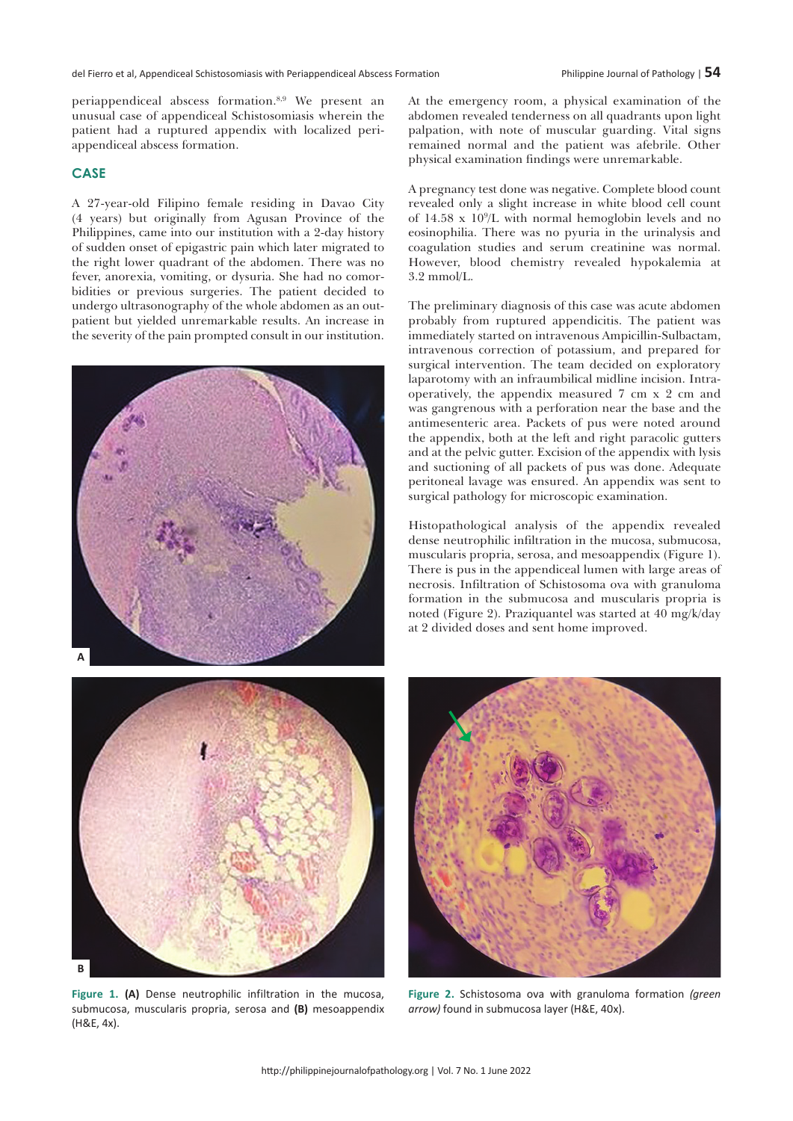periappendiceal abscess formation.8,9 We present an unusual case of appendiceal Schistosomiasis wherein the patient had a ruptured appendix with localized periappendiceal abscess formation.

## **CASE**

A 27-year-old Filipino female residing in Davao City (4 years) but originally from Agusan Province of the Philippines, came into our institution with a 2-day history of sudden onset of epigastric pain which later migrated to the right lower quadrant of the abdomen. There was no fever, anorexia, vomiting, or dysuria. She had no comorbidities or previous surgeries. The patient decided to undergo ultrasonography of the whole abdomen as an outpatient but yielded unremarkable results. An increase in the severity of the pain prompted consult in our institution.





**Figure 1. (A)** Dense neutrophilic infiltration in the mucosa, submucosa, muscularis propria, serosa and **(B)** mesoappendix (H&E, 4x).

At the emergency room, a physical examination of the abdomen revealed tenderness on all quadrants upon light palpation, with note of muscular guarding. Vital signs remained normal and the patient was afebrile. Other physical examination findings were unremarkable.

A pregnancy test done was negative. Complete blood count revealed only a slight increase in white blood cell count of 14.58 x 109 /L with normal hemoglobin levels and no eosinophilia. There was no pyuria in the urinalysis and coagulation studies and serum creatinine was normal. However, blood chemistry revealed hypokalemia at 3.2 mmol/L.

The preliminary diagnosis of this case was acute abdomen probably from ruptured appendicitis. The patient was immediately started on intravenous Ampicillin-Sulbactam, intravenous correction of potassium, and prepared for surgical intervention. The team decided on exploratory laparotomy with an infraumbilical midline incision. Intraoperatively, the appendix measured 7 cm x 2 cm and was gangrenous with a perforation near the base and the antimesenteric area. Packets of pus were noted around the appendix, both at the left and right paracolic gutters and at the pelvic gutter. Excision of the appendix with lysis and suctioning of all packets of pus was done. Adequate peritoneal lavage was ensured. An appendix was sent to surgical pathology for microscopic examination.

Histopathological analysis of the appendix revealed dense neutrophilic infiltration in the mucosa, submucosa, muscularis propria, serosa, and mesoappendix (Figure 1). There is pus in the appendiceal lumen with large areas of necrosis. Infiltration of Schistosoma ova with granuloma formation in the submucosa and muscularis propria is noted (Figure 2). Praziquantel was started at 40 mg/k/day at 2 divided doses and sent home improved.



**Figure 2.** Schistosoma ova with granuloma formation *(green arrow)* found in submucosa layer (H&E, 40x).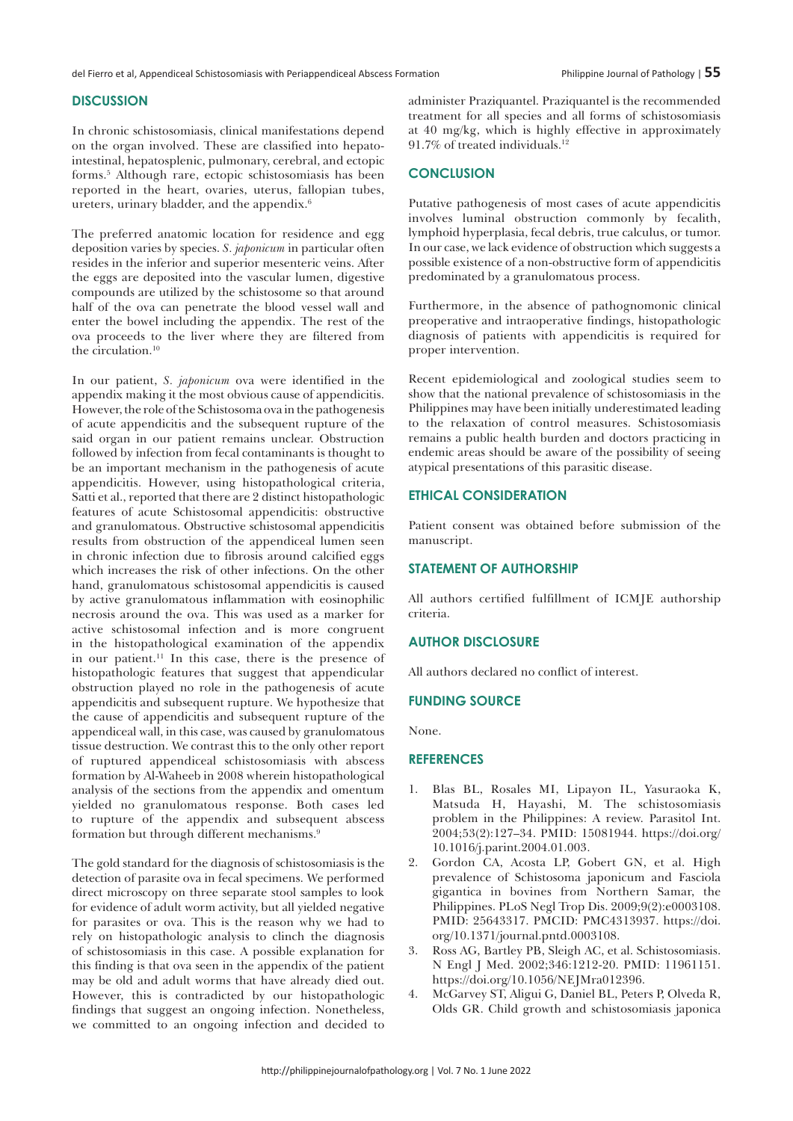#### **DISCUSSION**

In chronic schistosomiasis, clinical manifestations depend on the organ involved. These are classified into hepatointestinal, hepatosplenic, pulmonary, cerebral, and ectopic forms.5 Although rare, ectopic schistosomiasis has been reported in the heart, ovaries, uterus, fallopian tubes, ureters, urinary bladder, and the appendix.6

The preferred anatomic location for residence and egg deposition varies by species. *S. japonicum* in particular often resides in the inferior and superior mesenteric veins. After the eggs are deposited into the vascular lumen, digestive compounds are utilized by the schistosome so that around half of the ova can penetrate the blood vessel wall and enter the bowel including the appendix. The rest of the ova proceeds to the liver where they are filtered from the circulation.<sup>10</sup>

In our patient, *S. japonicum* ova were identified in the appendix making it the most obvious cause of appendicitis. However, the role of the Schistosoma ova in the pathogenesis of acute appendicitis and the subsequent rupture of the said organ in our patient remains unclear. Obstruction followed by infection from fecal contaminants is thought to be an important mechanism in the pathogenesis of acute appendicitis. However, using histopathological criteria, Satti et al., reported that there are 2 distinct histopathologic features of acute Schistosomal appendicitis: obstructive and granulomatous. Obstructive schistosomal appendicitis results from obstruction of the appendiceal lumen seen in chronic infection due to fibrosis around calcified eggs which increases the risk of other infections. On the other hand, granulomatous schistosomal appendicitis is caused by active granulomatous inflammation with eosinophilic necrosis around the ova. This was used as a marker for active schistosomal infection and is more congruent in the histopathological examination of the appendix in our patient.11 In this case, there is the presence of histopathologic features that suggest that appendicular obstruction played no role in the pathogenesis of acute appendicitis and subsequent rupture. We hypothesize that the cause of appendicitis and subsequent rupture of the appendiceal wall, in this case, was caused by granulomatous tissue destruction. We contrast this to the only other report of ruptured appendiceal schistosomiasis with abscess formation by Al-Waheeb in 2008 wherein histopathological analysis of the sections from the appendix and omentum yielded no granulomatous response. Both cases led to rupture of the appendix and subsequent abscess formation but through different mechanisms.9

The gold standard for the diagnosis of schistosomiasis is the detection of parasite ova in fecal specimens. We performed direct microscopy on three separate stool samples to look for evidence of adult worm activity, but all yielded negative for parasites or ova. This is the reason why we had to rely on histopathologic analysis to clinch the diagnosis of schistosomiasis in this case. A possible explanation for this finding is that ova seen in the appendix of the patient may be old and adult worms that have already died out. However, this is contradicted by our histopathologic findings that suggest an ongoing infection. Nonetheless, we committed to an ongoing infection and decided to

administer Praziquantel. Praziquantel is the recommended treatment for all species and all forms of schistosomiasis at 40 mg/kg, which is highly effective in approximately 91.7% of treated individuals.12

## **CONCLUSION**

Putative pathogenesis of most cases of acute appendicitis involves luminal obstruction commonly by fecalith, lymphoid hyperplasia, fecal debris, true calculus, or tumor. In our case, we lack evidence of obstruction which suggests a possible existence of a non-obstructive form of appendicitis predominated by a granulomatous process.

Furthermore, in the absence of pathognomonic clinical preoperative and intraoperative findings, histopathologic diagnosis of patients with appendicitis is required for proper intervention.

Recent epidemiological and zoological studies seem to show that the national prevalence of schistosomiasis in the Philippines may have been initially underestimated leading to the relaxation of control measures. Schistosomiasis remains a public health burden and doctors practicing in endemic areas should be aware of the possibility of seeing atypical presentations of this parasitic disease.

## **ETHICAL CONSIDERATION**

Patient consent was obtained before submission of the manuscript.

#### **STATEMENT OF AUTHORSHIP**

All authors certified fulfillment of ICMJE authorship criteria.

#### **AUTHOR DISCLOSURE**

All authors declared no conflict of interest.

#### **FUNDING SOURCE**

None.

## **References**

- 1. Blas BL, Rosales MI, Lipayon IL, Yasuraoka K, Matsuda H, Hayashi, M. The schistosomiasis problem in the Philippines: A review. Parasitol Int. 2004;53(2):127–34. PMID: 15081944. https://doi.org/ 10.1016/j.parint.2004.01.003.
- 2. Gordon CA, Acosta LP, Gobert GN, et al. High prevalence of Schistosoma japonicum and Fasciola gigantica in bovines from Northern Samar, the Philippines. PLoS Negl Trop Dis. 2009;9(2):e0003108. PMID: 25643317. PMCID: PMC4313937. https://doi. org/10.1371/journal.pntd.0003108.
- 3. Ross AG, Bartley PB, Sleigh AC, et al. Schistosomiasis. N Engl J Med. 2002;346:1212-20. PMID: 11961151. https://doi.org/10.1056/NEJMra012396.
- 4. McGarvey ST, Aligui G, Daniel BL, Peters P, Olveda R, Olds GR. Child growth and schistosomiasis japonica